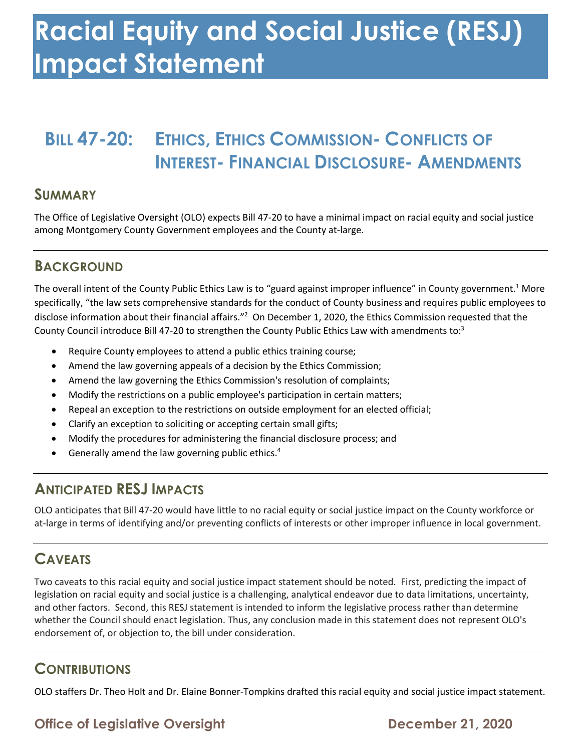## **Racial Equity and Social Justice (RESJ) Impact Statement**

### **BILL 47-20: ETHICS, ETHICS COMMISSION- CONFLICTS OF INTEREST- FINANCIAL DISCLOSURE- AMENDMENTS**

#### **SUMMARY**

 The Office of Legislative Oversight (OLO) expects Bill 47-20 to have a minimal impact on racial equity and social justice among Montgomery County Government employees and the County at-large.

#### **BACKGROUND**

The overall intent of the County Public Ethics Law is to "guard against improper influence" in County government.<sup>1</sup> More specifically, "the law sets comprehensive standards for the conduct of County business and requires public employees to disclose information about their financial affairs."<sup>2</sup> On December 1, 2020, the Ethics Commission requested that the County Council introduce Bill 47-20 to strengthen the County Public Ethics Law with amendments to:<sup>3</sup>

- Require County employees to attend a public ethics training course;
- Amend the law governing appeals of a decision by the Ethics Commission;
- Amend the law governing the Ethics Commission's resolution of complaints;
- Modify the restrictions on a public employee's participation in certain matters;
- Repeal an exception to the restrictions on outside employment for an elected official;
- Clarify an exception to soliciting or accepting certain small gifts;
- Modify the procedures for administering the financial disclosure process; and
- **•** Generally amend the law governing public ethics.<sup>4</sup>

#### **ANTICIPATED RESJ IMPACTS**

 OLO anticipates that Bill 47-20 would have little to no racial equity or social justice impact on the County workforce or at-large in terms of identifying and/or preventing conflicts of interests or other improper influence in local government.

#### **CAVEATS**

 Two caveats to this racial equity and social justice impact statement should be noted. First, predicting the impact of legislation on racial equity and social justice is a challenging, analytical endeavor due to data limitations, uncertainty, and other factors. Second, this RESJ statement is intended to inform the legislative process rather than determine whether the Council should enact legislation. Thus, any conclusion made in this statement does not represent OLO's endorsement of, or objection to, the bill under consideration.

#### **CONTRIBUTIONS**

OLO staffers Dr. Theo Holt and Dr. Elaine Bonner-Tompkins drafted this racial equity and social justice impact statement.

#### **Office of Legislative Oversight Channel Control Control December 21, 2020**